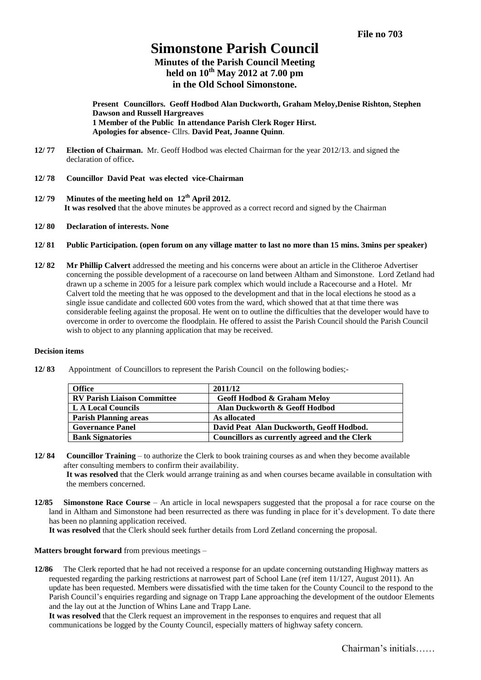# **Simonstone Parish Council**

**Minutes of the Parish Council Meeting held on 10th May 2012 at 7.00 pm in the Old School Simonstone.**

**Present Councillors. Geoff Hodbod Alan Duckworth, Graham Meloy,Denise Rishton, Stephen Dawson and Russell Hargreaves 1 Member of the Public In attendance Parish Clerk Roger Hirst. Apologies for absence-** Cllrs. **David Peat, Joanne Quinn**.

- **12/ 77 Election of Chairman.** Mr. Geoff Hodbod was elected Chairman for the year 2012/13. and signed the declaration of office**.**
- **12/ 78 Councillor David Peat was elected vice-Chairman**
- **12/ 79 Minutes of the meeting held on 12 th April 2012. It was resolved** that the above minutes be approved as a correct record and signed by the Chairman
- **12/ 80 Declaration of interests. None**
- **12/ 81 Public Participation. (open forum on any village matter to last no more than 15 mins. 3mins per speaker)**
- **12/ 82 Mr Phillip Calvert** addressed the meeting and his concerns were about an article in the Clitheroe Advertiser concerning the possible development of a racecourse on land between Altham and Simonstone. Lord Zetland had drawn up a scheme in 2005 for a leisure park complex which would include a Racecourse and a Hotel. Mr Calvert told the meeting that he was opposed to the development and that in the local elections he stood as a single issue candidate and collected 600 votes from the ward, which showed that at that time there was considerable feeling against the proposal. He went on to outline the difficulties that the developer would have to overcome in order to overcome the floodplain. He offered to assist the Parish Council should the Parish Council wish to object to any planning application that may be received.

## **Decision items**

**12/ 83** Appointment of Councillors to represent the Parish Council on the following bodies;-

| <b>Office</b>                      | 2011/12                                       |
|------------------------------------|-----------------------------------------------|
| <b>RV Parish Liaison Committee</b> | <b>Geoff Hodbod &amp; Graham Meloy</b>        |
| L A Local Councils                 | Alan Duckworth & Geoff Hodbod                 |
| <b>Parish Planning areas</b>       | As allocated                                  |
| <b>Governance Panel</b>            | David Peat Alan Duckworth, Geoff Hodbod.      |
| <b>Bank Signatories</b>            | Councillors as currently agreed and the Clerk |

- **12/ 84 Councillor Training** to authorize the Clerk to book training courses as and when they become available after consulting members to confirm their availability. **It was resolved** that the Clerk would arrange training as and when courses became available in consultation with the members concerned.
- **12/85 Simonstone Race Course** An article in local newspapers suggested that the proposal a for race course on the land in Altham and Simonstone had been resurrected as there was funding in place for it's development. To date there has been no planning application received.

**It was resolved** that the Clerk should seek further details from Lord Zetland concerning the proposal.

## **Matters brought forward** from previous meetings –

**12/86** The Clerk reported that he had not received a response for an update concerning outstanding Highway matters as requested regarding the parking restrictions at narrowest part of School Lane (ref item 11/127, August 2011). An update has been requested. Members were dissatisfied with the time taken for the County Council to the respond to the Parish Council's enquiries regarding and signage on Trapp Lane approaching the development of the outdoor Elements and the lay out at the Junction of Whins Lane and Trapp Lane.

**It was resolved** that the Clerk request an improvement in the responses to enquires and request that all communications be logged by the County Council, especially matters of highway safety concern.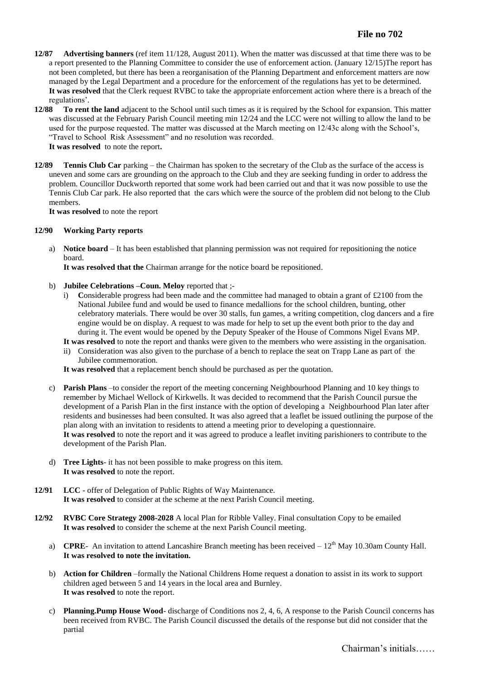- **12/87 Advertising banners** (ref item 11/128, August 2011). When the matter was discussed at that time there was to be a report presented to the Planning Committee to consider the use of enforcement action. (January 12/15)The report has not been completed, but there has been a reorganisation of the Planning Department and enforcement matters are now managed by the Legal Department and a procedure for the enforcement of the regulations has yet to be determined. **It was resolved** that the Clerk request RVBC to take the appropriate enforcement action where there is a breach of the regulations'.
- **12/88 To rent the land** adjacent to the School until such times as it is required by the School for expansion. This matter was discussed at the February Parish Council meeting min 12/24 and the LCC were not willing to allow the land to be used for the purpose requested. The matter was discussed at the March meeting on 12/43c along with the School's, "Travel to School Risk Assessment" and no resolution was recorded. **It was resolved** to note the report**.**
- **12/89 Tennis Club Car** parking the Chairman has spoken to the secretary of the Club as the surface of the access is uneven and some cars are grounding on the approach to the Club and they are seeking funding in order to address the problem. Councillor Duckworth reported that some work had been carried out and that it was now possible to use the Tennis Club Car park. He also reported that the cars which were the source of the problem did not belong to the Club members.

**It was resolved** to note the report

## **12/90 Working Party reports**

a) **Notice board** – It has been established that planning permission was not required for repositioning the notice board.

**It was resolved that the** Chairman arrange for the notice board be repositioned.

- b) **Jubilee Celebrations –Coun. Meloy** reported that ;
	- i) **C**onsiderable progress had been made and the committee had managed to obtain a grant of £2100 from the National Jubilee fund and would be used to finance medallions for the school children, bunting, other celebratory materials. There would be over 30 stalls, fun games, a writing competition, clog dancers and a fire engine would be on display. A request to was made for help to set up the event both prior to the day and during it. The event would be opened by the Deputy Speaker of the House of Commons Nigel Evans MP.
	- **It was resolved** to note the report and thanks were given to the members who were assisting in the organisation.
	- ii) Consideration was also given to the purchase of a bench to replace the seat on Trapp Lane as part of the Jubilee commemoration.

**It was resolved** that a replacement bench should be purchased as per the quotation.

- c) **Parish Plans** –to consider the report of the meeting concerning Neighbourhood Planning and 10 key things to remember by Michael Wellock of Kirkwells. It was decided to recommend that the Parish Council pursue the development of a Parish Plan in the first instance with the option of developing a Neighbourhood Plan later after residents and businesses had been consulted. It was also agreed that a leaflet be issued outlining the purpose of the plan along with an invitation to residents to attend a meeting prior to developing a questionnaire. **It was resolved** to note the report and it was agreed to produce a leaflet inviting parishioners to contribute to the development of the Parish Plan.
- d) **Tree Lights** it has not been possible to make progress on this item. **It was resolved** to note the report.
- **12/91 LCC** offer of Delegation of Public Rights of Way Maintenance. **It was resolved** to consider at the scheme at the next Parish Council meeting.
- **12/92 RVBC Core Strategy 2008-2028** A local Plan for Ribble Valley. Final consultation Copy to be emailed **It was resolved** to consider the scheme at the next Parish Council meeting.
	- a) **CPRE** An invitation to attend Lancashire Branch meeting has been received  $-12^{th}$  May 10.30am County Hall. **It was resolved to note the invitation.**
	- b) **Action for Children** –formally the National Childrens Home request a donation to assist in its work to support children aged between 5 and 14 years in the local area and Burnley. **It was resolved** to note the report.
	- c) **Planning.Pump House Wood** discharge of Conditions nos 2, 4, 6, A response to the Parish Council concerns has been received from RVBC. The Parish Council discussed the details of the response but did not consider that the partial